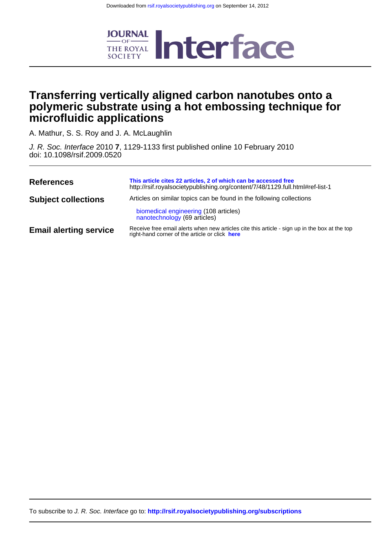

## **microfluidic applications polymeric substrate using a hot embossing technique for Transferring vertically aligned carbon nanotubes onto a**

A. Mathur, S. S. Roy and J. A. McLaughlin

doi: 10.1098/rsif.2009.0520 J. R. Soc. Interface 2010 **7**, 1129-1133 first published online 10 February 2010

| <b>References</b>             | This article cites 22 articles, 2 of which can be accessed free<br>http://rsif.royalsocietypublishing.org/content/7/48/1129.full.html#ref-list-1 |
|-------------------------------|--------------------------------------------------------------------------------------------------------------------------------------------------|
| <b>Subject collections</b>    | Articles on similar topics can be found in the following collections                                                                             |
|                               | biomedical engineering (108 articles)<br>nanotechnology (69 articles)                                                                            |
| <b>Email alerting service</b> | Receive free email alerts when new articles cite this article - sign up in the box at the top<br>right-hand corner of the article or click here  |

To subscribe to J. R. Soc. Interface go to: **<http://rsif.royalsocietypublishing.org/subscriptions>**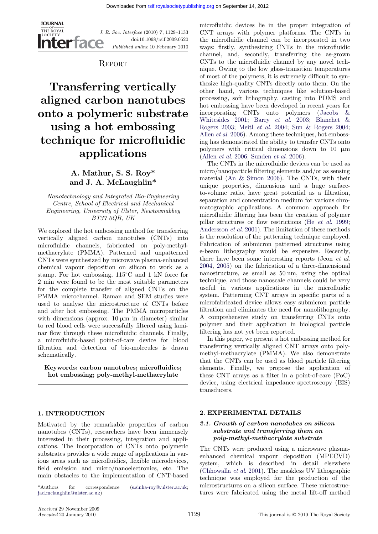

J. R. Soc. Interface (2010) 7, 1129–1133 doi:10.1098/rsif.2009.0520 Published online 10 February 2010

**REPORT** 

# Transferring vertically aligned carbon nanotubes onto a polymeric substrate using a hot embossing technique for microfluidic applications

## A. Mathur, S. S. Roy\* and J. A. McLaughlin\*

Nanotechnology and Integrated Bio-Engineering Centre, School of Electrical and Mechanical Engineering, University of Ulster, Newtownabbey BT37 0QB, UK

We explored the hot embossing method for transferring vertically aligned carbon nanotubes (CNTs) into microfluidic channels, fabricated on poly-methylmethacrylate (PMMA). Patterned and unpatterned CNTs were synthesized by microwave plasma-enhanced chemical vapour deposition on silicon to work as a stamp. For hot embossing,  $115^{\circ}$ C and 1 kN force for 2 min were found to be the most suitable parameters for the complete transfer of aligned CNTs on the PMMA microchannel. Raman and SEM studies were used to analyse the microstructure of CNTs before and after hot embossing. The PMMA microparticles with dimensions (approx.  $10 \mu m$  in diameter) similar to red blood cells were successfully filtered using laminar flow through these microfluidic channels. Finally, a microfluidic-based point-of-care device for blood filtration and detection of bio-molecules is drawn schematically.

Keywords: carbon nanotubes; microfluidics; hot embossing; poly-methyl-methacrylate

#### 1. INTRODUCTION

Motivated by the remarkable properties of carbon nanotubes (CNTs), researchers have been immensely interested in their processing, integration and applications. The incorporation of CNTs onto polymeric substrates provides a wide range of applications in various areas such as microfluidics, flexible microdevices, field emission and micro/nanoelectronics, etc. The main obstacles to the implementation of CNT-based

\*Authors for correspondence ([s.sinha-roy@.ulster.ac.uk](mailto:s.sinha-roy@.ulster.ac.uk); microstructures on a silicon surface. These microstruc-<br>jad.mclaughlin@ulster.ac.uk) tures were fabricated using the metal lift-off method [jad.mclaughlin@ulster.ac.uk\)](mailto:jad.mclaughlin@ulster.ac.uk)

microfluidic devices lie in the proper integration of CNT arrays with polymer platforms. The CNTs in the microfluidic channel can be incorporated in two ways: firstly, synthesizing CNTs in the microfluidic channel, and, secondly, transferring the as-grown CNTs to the microfluidic channel by any novel technique. Owing to the low glass-transition temperatures of most of the polymers, it is extremely difficult to synthesize high-quality CNTs directly onto them. On the other hand, various techniques like solution-based processing, soft lithography, casting into PDMS and hot embossing have been developed in recent years for incorporating CNTs onto polymers ([Jacobs &](#page-5-0) [Whitesides 2001;](#page-5-0) Barry et al[. 2003;](#page-5-0) [Blanchet &](#page-5-0) [Rogers 2003;](#page-5-0) Meitl et al[. 2004](#page-5-0); [Sun & Rogers 2004;](#page-5-0) Allen et al[. 2006\)](#page-5-0). Among these techniques, hot embossing has demonstrated the ability to transfer CNTs onto polymers with critical dimensions down to 10  $\mu$ m (Allen et al[. 2006](#page-5-0); [Sunden](#page-5-0) et al. 2006).

The CNTs in the microfluidic devices can be used as micro/nanoparticle filtering elements and/or as sensing material ([An & Simon 2006\)](#page-5-0). The CNTs, with their unique properties, dimensions and a huge surfaceto-volume ratio, have great potential as a filtration, separation and concentration medium for various chromatographic applications. A common approach for microfluidic filtering has been the creation of polymer pillar structures or flow restrictions (He et al[. 1999;](#page-5-0) [Andersson](#page-5-0) et al. 2001). The limitation of these methods is the resolution of the patterning technique employed. Fabrication of submicron patterned structures using e-beam lithography would be expensive. Recently, there have been some interesting reports (Jeon et al. [2004,](#page-5-0) [2005\)](#page-5-0) on the fabrication of a three-dimensional nanostructure, as small as 50 nm, using the optical technique, and those nanoscale channels could be very useful in various applications in the microfluidic system. Patterning CNT arrays in specific parts of a microfabricated device allows easy submicron particle filtration and eliminates the need for nanolithography. A comprehensive study on transferring CNTs onto polymer and their application in biological particle filtering has not yet been reported.

In this paper, we present a hot embossing method for transferring vertically aligned CNT arrays onto polymethyl-methacrylate (PMMA). We also demonstrate that the CNTs can be used as blood particle filtering elements. Finally, we propose the application of these CNT arrays as a filter in a point-of-care (PoC) device, using electrical impedance spectroscopy (EIS) transducers.

#### 2. EXPERIMENTAL DETAILS

#### 2.1. Growth of carbon nanotubes on silicon substrate and transferring them on poly-methyl-methacrylate substrate

The CNTs were produced using a microwave plasmaenhanced chemical vapour deposition (MPECVD) system, which is described in detail elsewhere [\(Chhowalla](#page-5-0) et al. 2001). The maskless UV lithographic technique was employed for the production of the microstructures on a silicon surface. These microstruc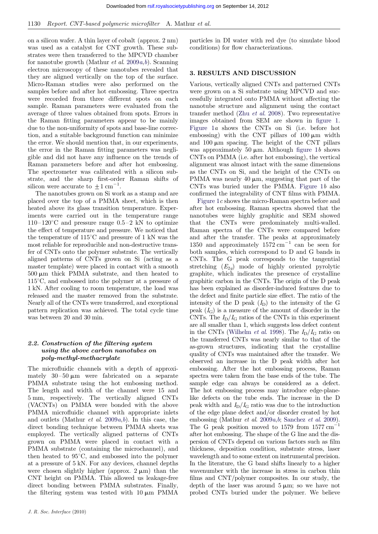on a silicon wafer. A thin layer of cobalt (approx. 2 nm) was used as a catalyst for CNT growth. These substrates were then transferred to the MPCVD chamber for nanotu[b](#page-5-0)e growth (Mathur *et al.* [2009](#page-5-0)*a,b*). Scanning electron microscopy of these nanotubes revealed that they are aligned vertically on the top of the surface. Micro-Raman studies were also performed on the samples before and after hot embossing. Three spectra were recorded from three different spots on each sample. Raman parameters were evaluated from the average of three values obtained from spots. Errors in the Raman fitting parameters appear to be mainly due to the non-uniformity of spots and base-line correction, and a suitable background function can minimize the error. We should mention that, in our experiments, the error in the Raman fitting parameters was negligible and did not have any influence on the trends of Raman parameters before and after hot embossing. The spectrometer was calibrated with a silicon substrate, and the sharp first-order Raman shifts of silicon were accurate to  $\pm 1$  cm<sup>-1</sup>.

The nanotubes grown on Si work as a stamp and are placed over the top of a PMMA sheet, which is then heated above its glass transition temperature. Experiments were carried out in the temperature range  $110-120^{\circ}$ C and pressure range  $0.5-2$  kN to optimize the effect of temperature and pressure. We noticed that the temperature of  $115^{\circ}$ C and pressure of 1 kN was the most reliable for reproducible and non-destructive transfer of CNTs onto the polymer substrate. The vertically aligned patterns of CNTs grown on Si (acting as a master template) were placed in contact with a smooth  $500 \mu m$  thick PMMA substrate, and then heated to  $115^{\circ}$ C, and embossed into the polymer at a pressure of 1 kN. After cooling to room temperature, the load was released and the master removed from the substrate. Nearly all of the CNTs were transferred, and exceptional pattern replication was achieved. The total cycle time was between 20 and 30 min.

#### 2.2. Construction of the filtering system using the above carbon nanotubes on poly-methyl-methacrylate

The microfluidic channels with a depth of approximately  $30-50 \mu m$  were fabricated on a separate PMMA substrate using the hot embossing method. The length and width of the channel were 15 and 5 mm, respectively. The vertically aligned CNTs (VACNTs) on PMMA were bonded with the above PMMA microfluidic channel with appropriate inlets and outlets (Mathur *et al.* [2009](#page-5-0) $a,b$  $a,b$ ). In this case, the direct bonding technique between PMMA sheets was employed. The vertically aligned patterns of CNTs grown on PMMA were placed in contact with a PMMA substrate (containing the microchannel), and then heated to  $95^{\circ}$ C, and embossed into the polymer at a pressure of 5 kN. For any devices, channel depths were chosen slightly higher (approx.  $2 \mu m$ ) than the CNT height on PMMA. This allowed us leakage-free direct bonding between PMMA substrates. Finally, the filtering system was tested with  $10 \mu m$  PMMA

particles in DI water with red dye (to simulate blood conditions) for flow characterizations.

#### 3. RESULTS AND DISCUSSION

Various, vertically aligned CNTs and patterned CNTs were grown on a Si substrate using MPCVD and successfully integrated onto PMMA without affecting the nanotube structure and alignment using the contact transfer method (Zhu et al[. 2008](#page-5-0)). Two representative images obtained from SEM are shown in [figure 1](#page-3-0). [Figure 1](#page-3-0)a shows the CNTs on Si (i.e. before hot embossing) with the CNT pillars of  $100 \mu m$  width and  $100 \mu m$  spacing. The height of the CNT pillars was approximately 50  $\mu$ m. Although [figure 1](#page-3-0)b shows CNTs on PMMA (i.e. after hot embossing), the vertical alignment was almost intact with the same dimensions as the CNTs on Si, and the height of the CNTs on PMMA was nearly 40  $\mu$ m, suggesting that part of the CNTs was buried under the PMMA. [Figure 1](#page-3-0)b also confirmed the integrability of CNT films with PMMA.

[Figure 1](#page-3-0)c shows the micro-Raman spectra before and after hot embossing. Raman spectra showed that the nanotubes were highly graphitic and SEM showed that the CNTs were predominately multi-walled. Raman spectra of the CNTs were compared before and after the transfer. The peaks at approximately 1350 and approximately  $1572 \text{ cm}^{-1}$  can be seen for both samples, which correspond to D and G bands in CNTs. The G peak corresponds to the tangential stretching  $(E_{2q})$  mode of highly oriented pyrolytic graphite, which indicates the presence of crystalline graphitic carbon in the CNTs. The origin of the D peak has been explained as disorder-induced features due to the defect and finite particle size effect. The ratio of the intensity of the D peak  $(I_D)$  to the intensity of the G peak  $(I_G)$  is a measure of the amount of disorder in the CNTs. The  $I_D/I_G$  ratios of the CNTs in this experiment are all smaller than 1, which suggests less defect content in the CNTs [\(Wilhelm](#page-5-0) *et al.* 1998). The  $I_D/I_G$  ratio on the transferred CNTs was nearly similar to that of the as-grown structures, indicating that the crystalline quality of CNTs was maintained after the transfer. We observed an increase in the D peak width after hot embossing. After the hot embossing process, Raman spectra were taken from the base ends of the tube. The sample edge can always be considered as a defect. The hot embossing process may introduce edge-planelike defects on the tube ends. The increase in the D peak width and  $I_D/I_G$  ratio was due to the introduction of the edge plane defect and/or disorder created by hot em[b](#page-5-0)ossing (Mathur *et al.* [2009](#page-5-0)*a,b*; [Sanchez](#page-5-0) *et al.* 2009). The G peak position moved to  $1579$  from  $1577 \text{ cm}^{-1}$ after hot embossing. The shape of the G line and the dispersion of CNTs depend on various factors such as film thickness, deposition condition, substrate stress, laser wavelength and to some extent on instrumental precision. In the literature, the G band shifts linearly to a higher wavenumber with the increase in stress in carbon thin films and CNT/polymer composites. In our study, the depth of the laser was around  $5 \mu m$ ; so we have not probed CNTs buried under the polymer. We believe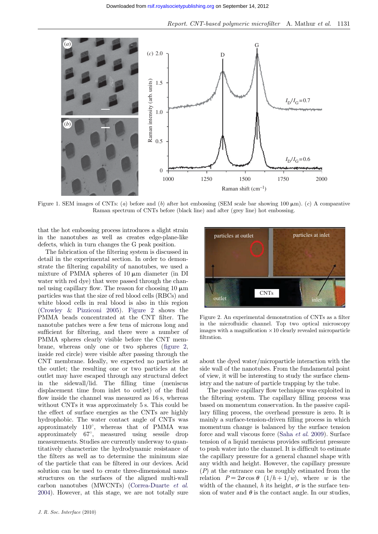<span id="page-3-0"></span>

Figure 1. SEM images of CNTs: (a) before and (b) after hot embossing (SEM scale bar showing 100  $\mu$ m). (c) A comparative Raman spectrum of CNTs before (black line) and after (grey line) hot embossing.

that the hot embossing process introduces a slight strain in the nanotubes as well as creates edge-plane-like defects, which in turn changes the G peak position.

The fabrication of the filtering system is discussed in detail in the experimental section. In order to demonstrate the filtering capability of nanotubes, we used a mixture of PMMA spheres of  $10 \mu m$  diameter (in DI water with red dye) that were passed through the channel using capillary flow. The reason for choosing  $10 \mu m$ particles was that the size of red blood cells (RBCs) and white blood cells in real blood is also in this region [\(Crowley & Pizziconi 2005\)](#page-5-0). Figure 2 shows the PMMA beads concentrated at the CNT filter. The nanotube patches were a few tens of microns long and sufficient for filtering, and there were a number of PMMA spheres clearly visible before the CNT membrane, whereas only one or two spheres (figure 2, inside red circle) were visible after passing through the CNT membrane. Ideally, we expected no particles at the outlet; the resulting one or two particles at the outlet may have escaped through any structural defect in the sidewall/lid. The filling time (meniscus displacement time from inlet to outlet) of the fluid flow inside the channel was measured as 16 s, whereas without CNTs it was approximately 5 s. This could be the effect of surface energies as the CNTs are highly hydrophobic. The water contact angle of CNTs was approximately  $110^{\circ}$ , whereas that of PMMA was approximately  $67^{\circ}$ , measured using sessile drop measurements. Studies are currently underway to quantitatively characterize the hydrodynamic resistance of the filters as well as to determine the minimum size of the particle that can be filtered in our devices. Acid solution can be used to create three-dimensional nanostructures on the surfaces of the aligned multi-wall carbon nanotubes (MWCNTs) ([Correa-Duarte](#page-5-0) et al. [2004](#page-5-0)). However, at this stage, we are not totally sure



Figure 2. An experimental demonstration of CNTs as a filter in the microfluidic channel. Top two optical microscopy images with a magnification  $\times 10$  clearly revealed microparticle filtration.

about the dyed water/microparticle interaction with the side wall of the nanotubes. From the fundamental point of view, it will be interesting to study the surface chemistry and the nature of particle trapping by the tube.

The passive capillary flow technique was exploited in the filtering system. The capillary filling process was based on momentum conservation. In the passive capillary filling process, the overhead pressure is zero. It is mainly a surface-tension-driven filling process in which momentum change is balanced by the surface tension force and wall viscous force (Saha et al[. 2009](#page-5-0)). Surface tension of a liquid meniscus provides sufficient pressure to push water into the channel. It is difficult to estimate the capillary pressure for a general channel shape with any width and height. However, the capillary pressure  $(P)$  at the entrance can be roughly estimated from the relation  $P = 2\sigma \cos \theta$   $(1/h + 1/w)$ , where w is the width of the channel, h its height,  $\sigma$  is the surface tension of water and  $\theta$  is the contact angle. In our studies,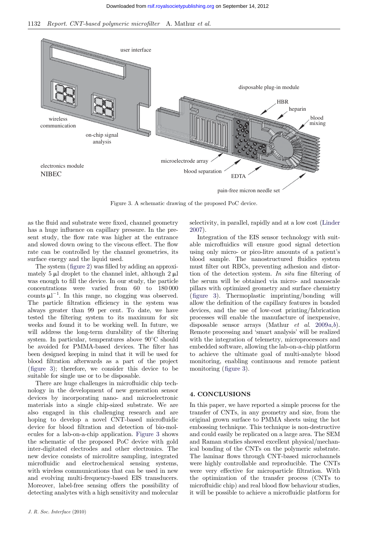1132 Report. CNT-based polymeric microfilter A. Mathur et al.



Figure 3. A schematic drawing of the proposed PoC device.

as the fluid and substrate were fixed, channel geometry has a huge influence on capillary pressure. In the present study, the flow rate was higher at the entrance and slowed down owing to the viscous effect. The flow rate can be controlled by the channel geometries, its surface energy and the liquid used.

The system ([figure 2](#page-3-0)) was filled by adding an approximately 5  $\mu$ l droplet to the channel inlet, although 2  $\mu$ l was enough to fill the device. In our study, the particle concentrations were varied from 60 to 180 000 counts  $\mu$ <sup>-1</sup>. In this range, no clogging was observed. The particle filtration efficiency in the system was always greater than 99 per cent. To date, we have tested the filtering system to its maximum for six weeks and found it to be working well. In future, we will address the long-term durability of the filtering system. In particular, temperatures above  $90^{\circ}$ C should be avoided for PMMA-based devices. The filter has been designed keeping in mind that it will be used for blood filtration afterwards as a part of the project (figure 3); therefore, we consider this device to be suitable for single use or to be disposable.

There are huge challenges in microfluidic chip technology in the development of new generation sensor devices by incorporating nano- and microelectronic materials into a single chip-sized substrate. We are also engaged in this challenging research and are hoping to develop a novel CNT-based microfluidic device for blood filtration and detection of bio-molecules for a lab-on-a-chip application. Figure 3 shows the schematic of the proposed PoC device with gold inter-digitated electrodes and other electronics. The new device consists of microlitre sampling, integrated microfluidic and electrochemical sensing systems, with wireless communications that can be used in new and evolving multi-frequency-based EIS transducers. Moreover, label-free sensing offers the possibility of detecting analytes with a high sensitivity and molecular

J. R. Soc. Interface (2010)

selectivity, in parallel, rapidly and at a low cost ([Linder](#page-5-0) [2007\)](#page-5-0).

Integration of the EIS sensor technology with suitable microfluidics will ensure good signal detection using only micro- or pico-litre amounts of a patient's blood sample. The nanostructured fluidics system must filter out RBCs, preventing adhesion and distortion of the detection system. In situ fine filtering of the serum will be obtained via micro- and nanoscale pillars with optimized geometry and surface chemistry (figure 3). Thermoplastic imprinting/bonding will allow the definition of the capillary features in bonded devices, and the use of low-cost printing/fabrication processes will enable the manufacture of inexpensive, disposa[b](#page-5-0)le sensor arrays (Mathur *et al.* [2009](#page-5-0) $a,b$ ). Remote processing and 'smart analysis' will be realized with the integration of telemetry, microprocessors and embedded software, allowing the lab-on-a-chip platform to achieve the ultimate goal of multi-analyte blood monitoring, enabling continuous and remote patient monitoring (figure 3).

#### 4. CONCLUSIONS

In this paper, we have reported a simple process for the transfer of CNTs, in any geometry and size, from the original grown surface to PMMA sheets using the hot embossing technique. This technique is non-destructive and could easily be replicated on a large area. The SEM and Raman studies showed excellent physical/mechanical bonding of the CNTs on the polymeric substrate. The laminar flows through CNT-based microchannels were highly controllable and reproducible. The CNTs were very effective for microparticle filtration. With the optimization of the transfer process (CNTs to microfluidic chip) and real blood flow behaviour studies, it will be possible to achieve a microfluidic platform for